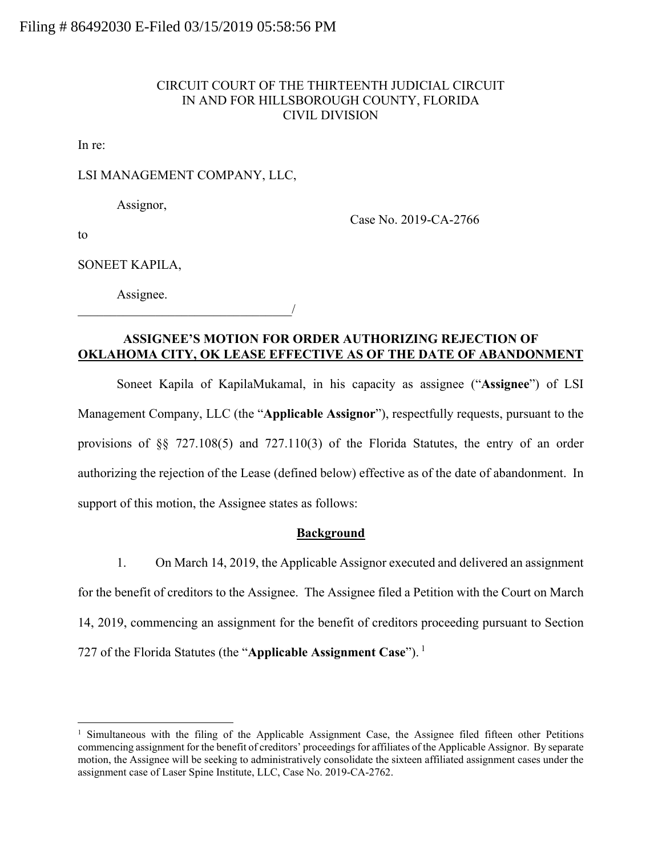## CIRCUIT COURT OF THE THIRTEENTH JUDICIAL CIRCUIT IN AND FOR HILLSBOROUGH COUNTY, FLORIDA CIVIL DIVISION

In re:

LSI MANAGEMENT COMPANY, LLC,

 $\overline{\phantom{a}}$ 

Assignor,

Case No. 2019-CA-2766

to

 $\overline{a}$ 

SONEET KAPILA,

Assignee.

# **ASSIGNEE'S MOTION FOR ORDER AUTHORIZING REJECTION OF OKLAHOMA CITY, OK LEASE EFFECTIVE AS OF THE DATE OF ABANDONMENT**

Soneet Kapila of KapilaMukamal, in his capacity as assignee ("**Assignee**") of LSI Management Company, LLC (the "**Applicable Assignor**"), respectfully requests, pursuant to the provisions of §§ 727.108(5) and 727.110(3) of the Florida Statutes, the entry of an order authorizing the rejection of the Lease (defined below) effective as of the date of abandonment. In support of this motion, the Assignee states as follows:

### **Background**

1. On March 14, 2019, the Applicable Assignor executed and delivered an assignment for the benefit of creditors to the Assignee. The Assignee filed a Petition with the Court on March 14, 2019, commencing an assignment for the benefit of creditors proceeding pursuant to Section 727 of the Florida Statutes (the "**Applicable Assignment Case**"). 1

<sup>&</sup>lt;sup>1</sup> Simultaneous with the filing of the Applicable Assignment Case, the Assignee filed fifteen other Petitions commencing assignment for the benefit of creditors' proceedings for affiliates of the Applicable Assignor. By separate motion, the Assignee will be seeking to administratively consolidate the sixteen affiliated assignment cases under the assignment case of Laser Spine Institute, LLC, Case No. 2019-CA-2762.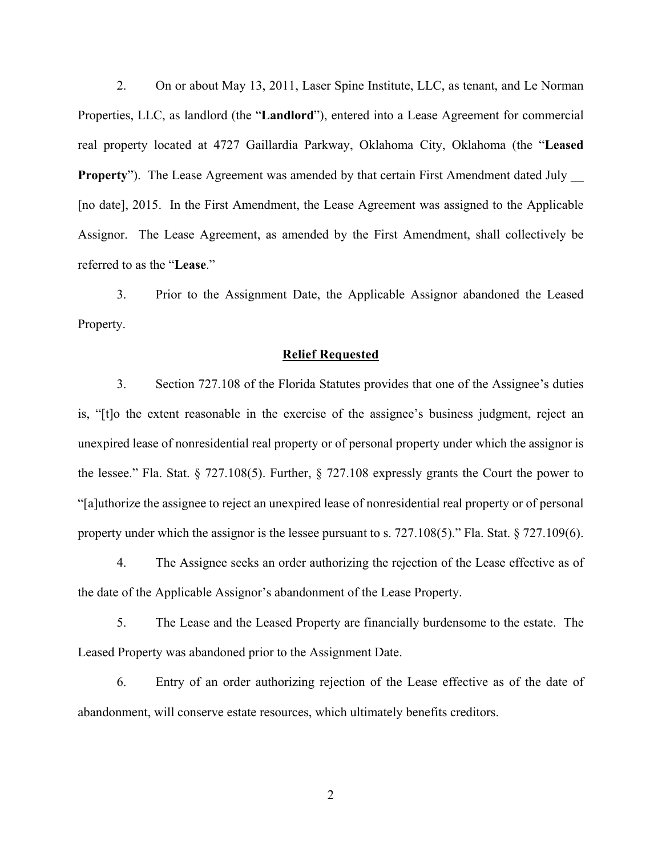2. On or about May 13, 2011, Laser Spine Institute, LLC, as tenant, and Le Norman Properties, LLC, as landlord (the "**Landlord**"), entered into a Lease Agreement for commercial real property located at 4727 Gaillardia Parkway, Oklahoma City, Oklahoma (the "**Leased Property**"). The Lease Agreement was amended by that certain First Amendment dated July [no date], 2015. In the First Amendment, the Lease Agreement was assigned to the Applicable Assignor. The Lease Agreement, as amended by the First Amendment, shall collectively be referred to as the "**Lease**."

3. Prior to the Assignment Date, the Applicable Assignor abandoned the Leased Property.

#### **Relief Requested**

3. Section 727.108 of the Florida Statutes provides that one of the Assignee's duties is, "[t]o the extent reasonable in the exercise of the assignee's business judgment, reject an unexpired lease of nonresidential real property or of personal property under which the assignor is the lessee." Fla. Stat. § 727.108(5). Further, § 727.108 expressly grants the Court the power to "[a]uthorize the assignee to reject an unexpired lease of nonresidential real property or of personal property under which the assignor is the lessee pursuant to s. 727.108(5)." Fla. Stat. § 727.109(6).

4. The Assignee seeks an order authorizing the rejection of the Lease effective as of the date of the Applicable Assignor's abandonment of the Lease Property.

5. The Lease and the Leased Property are financially burdensome to the estate. The Leased Property was abandoned prior to the Assignment Date.

6. Entry of an order authorizing rejection of the Lease effective as of the date of abandonment, will conserve estate resources, which ultimately benefits creditors.

2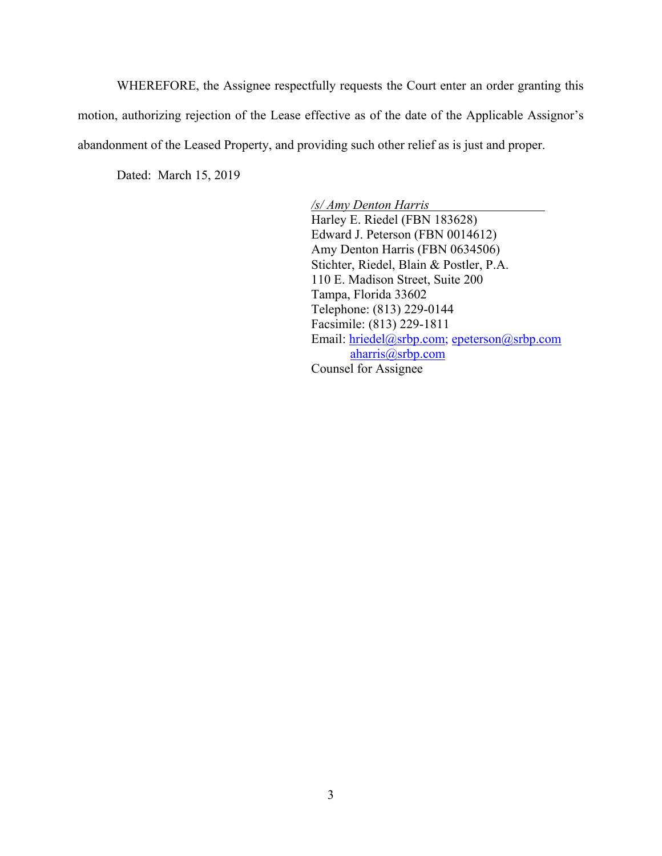WHEREFORE, the Assignee respectfully requests the Court enter an order granting this motion, authorizing rejection of the Lease effective as of the date of the Applicable Assignor's abandonment of the Leased Property, and providing such other relief as is just and proper.

Dated: March 15, 2019

*/s/ Amy Denton Harris*  Harley E. Riedel (FBN 183628) Edward J. Peterson (FBN 0014612) Amy Denton Harris (FBN 0634506) Stichter, Riedel, Blain & Postler, P.A. 110 E. Madison Street, Suite 200 Tampa, Florida 33602 Telephone: (813) 229-0144 Facsimile: (813) 229-1811 Email: hriedel@srbp.com; epeterson@srbp.com aharris@srbp.com Counsel for Assignee